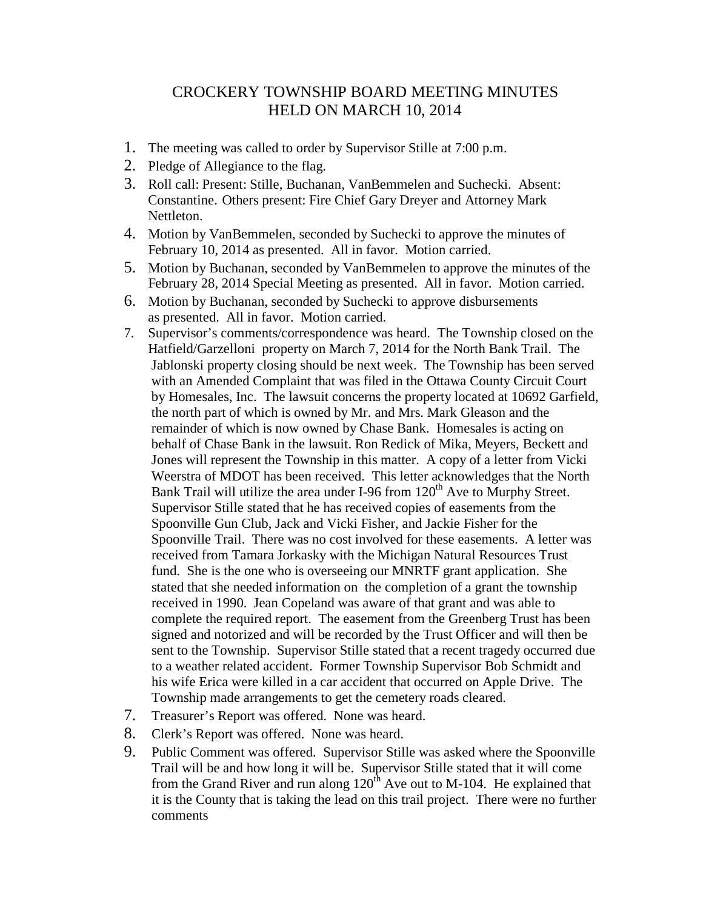## CROCKERY TOWNSHIP BOARD MEETING MINUTES HELD ON MARCH 10, 2014

- 1. The meeting was called to order by Supervisor Stille at 7:00 p.m.
- 2. Pledge of Allegiance to the flag.
- 3. Roll call: Present: Stille, Buchanan, VanBemmelen and Suchecki. Absent: Constantine. Others present: Fire Chief Gary Dreyer and Attorney Mark Nettleton.
- 4. Motion by VanBemmelen, seconded by Suchecki to approve the minutes of February 10, 2014 as presented. All in favor. Motion carried.
- 5. Motion by Buchanan, seconded by VanBemmelen to approve the minutes of the February 28, 2014 Special Meeting as presented. All in favor. Motion carried.
- 6. Motion by Buchanan, seconded by Suchecki to approve disbursements as presented. All in favor. Motion carried.
- 7. Supervisor's comments/correspondence was heard. The Township closed on the Hatfield/Garzelloni property on March 7, 2014 for the North Bank Trail. The Jablonski property closing should be next week. The Township has been served with an Amended Complaint that was filed in the Ottawa County Circuit Court by Homesales, Inc. The lawsuit concerns the property located at 10692 Garfield, the north part of which is owned by Mr. and Mrs. Mark Gleason and the remainder of which is now owned by Chase Bank. Homesales is acting on behalf of Chase Bank in the lawsuit. Ron Redick of Mika, Meyers, Beckett and Jones will represent the Township in this matter. A copy of a letter from Vicki Weerstra of MDOT has been received. This letter acknowledges that the North Bank Trail will utilize the area under I-96 from  $120<sup>th</sup>$  Ave to Murphy Street. Supervisor Stille stated that he has received copies of easements from the Spoonville Gun Club, Jack and Vicki Fisher, and Jackie Fisher for the Spoonville Trail. There was no cost involved for these easements. A letter was received from Tamara Jorkasky with the Michigan Natural Resources Trust fund. She is the one who is overseeing our MNRTF grant application. She stated that she needed information on the completion of a grant the township received in 1990. Jean Copeland was aware of that grant and was able to complete the required report. The easement from the Greenberg Trust has been signed and notorized and will be recorded by the Trust Officer and will then be sent to the Township. Supervisor Stille stated that a recent tragedy occurred due to a weather related accident. Former Township Supervisor Bob Schmidt and his wife Erica were killed in a car accident that occurred on Apple Drive. The Township made arrangements to get the cemetery roads cleared.
- 7. Treasurer's Report was offered. None was heard.
- 8. Clerk's Report was offered. None was heard.
- 9. Public Comment was offered. Supervisor Stille was asked where the Spoonville Trail will be and how long it will be. Supervisor Stille stated that it will come from the Grand River and run along  $120^{th}$  Ave out to M-104. He explained that it is the County that is taking the lead on this trail project. There were no further comments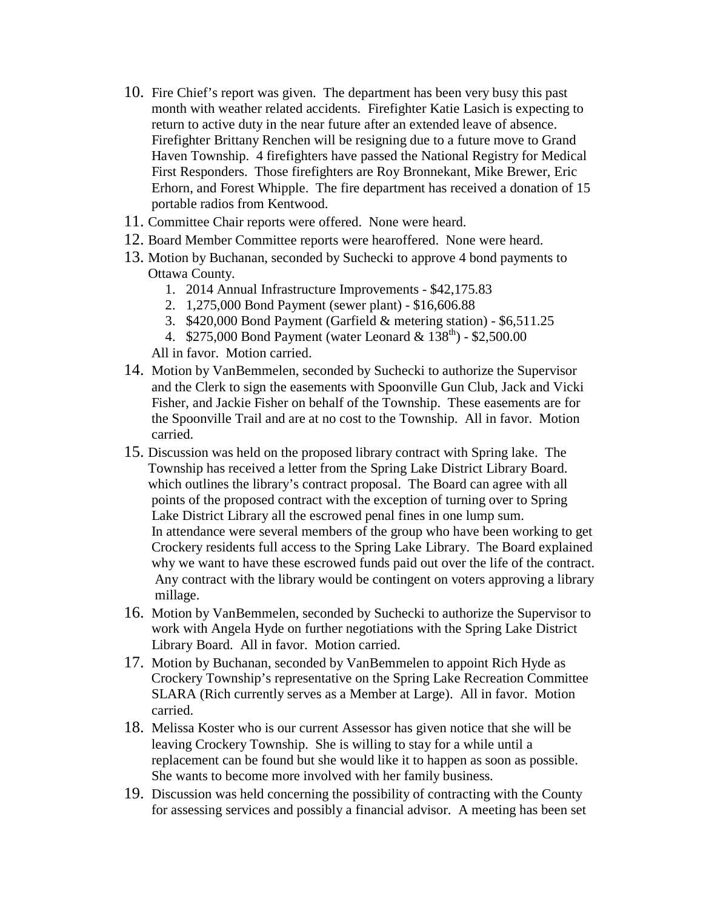- 10. Fire Chief's report was given. The department has been very busy this past month with weather related accidents. Firefighter Katie Lasich is expecting to return to active duty in the near future after an extended leave of absence. Firefighter Brittany Renchen will be resigning due to a future move to Grand Haven Township. 4 firefighters have passed the National Registry for Medical First Responders. Those firefighters are Roy Bronnekant, Mike Brewer, Eric Erhorn, and Forest Whipple. The fire department has received a donation of 15 portable radios from Kentwood.
- 11. Committee Chair reports were offered. None were heard.
- 12. Board Member Committee reports were hearoffered. None were heard.
- 13. Motion by Buchanan, seconded by Suchecki to approve 4 bond payments to Ottawa County.
	- 1. 2014 Annual Infrastructure Improvements \$42,175.83
	- 2. 1,275,000 Bond Payment (sewer plant) \$16,606.88
	- 3. \$420,000 Bond Payment (Garfield & metering station) \$6,511.25
	- 4. \$275,000 Bond Payment (water Leonard &  $138^{\text{th}}$ ) \$2,500.00

All in favor. Motion carried.

- 14. Motion by VanBemmelen, seconded by Suchecki to authorize the Supervisor and the Clerk to sign the easements with Spoonville Gun Club, Jack and Vicki Fisher, and Jackie Fisher on behalf of the Township. These easements are for the Spoonville Trail and are at no cost to the Township. All in favor. Motion carried.
- 15. Discussion was held on the proposed library contract with Spring lake. The Township has received a letter from the Spring Lake District Library Board. which outlines the library's contract proposal. The Board can agree with all points of the proposed contract with the exception of turning over to Spring Lake District Library all the escrowed penal fines in one lump sum. In attendance were several members of the group who have been working to get Crockery residents full access to the Spring Lake Library. The Board explained why we want to have these escrowed funds paid out over the life of the contract. Any contract with the library would be contingent on voters approving a library millage.
- 16. Motion by VanBemmelen, seconded by Suchecki to authorize the Supervisor to work with Angela Hyde on further negotiations with the Spring Lake District Library Board. All in favor. Motion carried.
- 17. Motion by Buchanan, seconded by VanBemmelen to appoint Rich Hyde as Crockery Township's representative on the Spring Lake Recreation Committee SLARA (Rich currently serves as a Member at Large). All in favor. Motion carried.
- 18. Melissa Koster who is our current Assessor has given notice that she will be leaving Crockery Township. She is willing to stay for a while until a replacement can be found but she would like it to happen as soon as possible. She wants to become more involved with her family business.
- 19. Discussion was held concerning the possibility of contracting with the County for assessing services and possibly a financial advisor. A meeting has been set